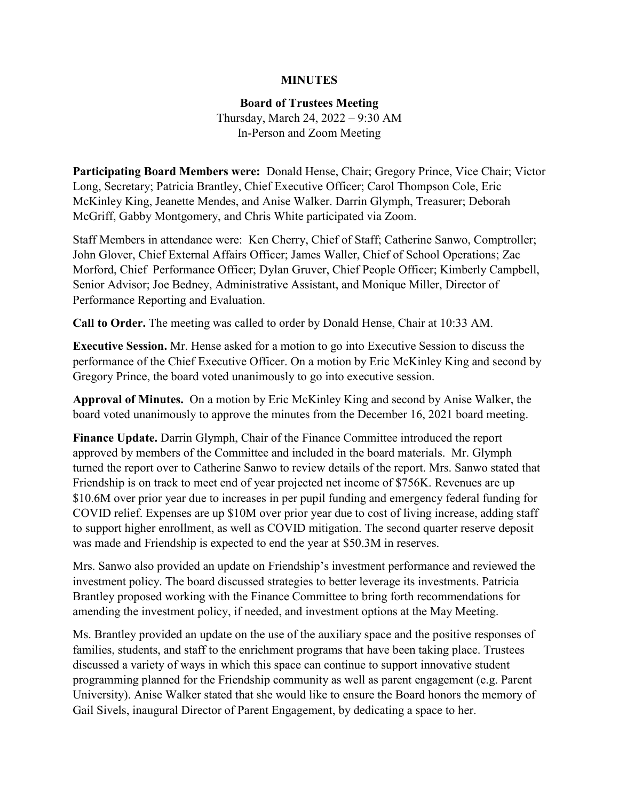## **MINUTES**

**Board of Trustees Meeting**

Thursday, March 24, 2022 – 9:30 AM In-Person and Zoom Meeting

**Participating Board Members were:** Donald Hense, Chair; Gregory Prince, Vice Chair; Victor Long, Secretary; Patricia Brantley, Chief Executive Officer; Carol Thompson Cole, Eric McKinley King, Jeanette Mendes, and Anise Walker. Darrin Glymph, Treasurer; Deborah McGriff, Gabby Montgomery, and Chris White participated via Zoom.

Staff Members in attendance were: Ken Cherry, Chief of Staff; Catherine Sanwo, Comptroller; John Glover, Chief External Affairs Officer; James Waller, Chief of School Operations; Zac Morford, Chief Performance Officer; Dylan Gruver, Chief People Officer; Kimberly Campbell, Senior Advisor; Joe Bedney, Administrative Assistant, and Monique Miller, Director of Performance Reporting and Evaluation.

**Call to Order.** The meeting was called to order by Donald Hense, Chair at 10:33 AM.

**Executive Session.** Mr. Hense asked for a motion to go into Executive Session to discuss the performance of the Chief Executive Officer. On a motion by Eric McKinley King and second by Gregory Prince, the board voted unanimously to go into executive session.

**Approval of Minutes.** On a motion by Eric McKinley King and second by Anise Walker, the board voted unanimously to approve the minutes from the December 16, 2021 board meeting.

**Finance Update.** Darrin Glymph, Chair of the Finance Committee introduced the report approved by members of the Committee and included in the board materials. Mr. Glymph turned the report over to Catherine Sanwo to review details of the report. Mrs. Sanwo stated that Friendship is on track to meet end of year projected net income of \$756K. Revenues are up \$10.6M over prior year due to increases in per pupil funding and emergency federal funding for COVID relief. Expenses are up \$10M over prior year due to cost of living increase, adding staff to support higher enrollment, as well as COVID mitigation. The second quarter reserve deposit was made and Friendship is expected to end the year at \$50.3M in reserves.

Mrs. Sanwo also provided an update on Friendship's investment performance and reviewed the investment policy. The board discussed strategies to better leverage its investments. Patricia Brantley proposed working with the Finance Committee to bring forth recommendations for amending the investment policy, if needed, and investment options at the May Meeting.

Ms. Brantley provided an update on the use of the auxiliary space and the positive responses of families, students, and staff to the enrichment programs that have been taking place. Trustees discussed a variety of ways in which this space can continue to support innovative student programming planned for the Friendship community as well as parent engagement (e.g. Parent University). Anise Walker stated that she would like to ensure the Board honors the memory of Gail Sivels, inaugural Director of Parent Engagement, by dedicating a space to her.